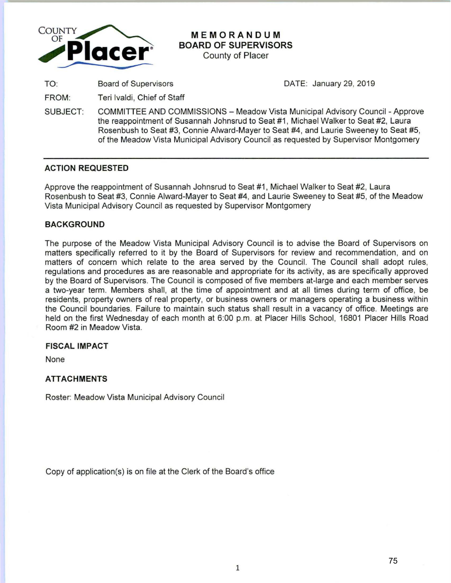

# **MEMORANDUM BOARD OF SUPERVISORS**

County of Placer

TO: Board of Supervisors

DATE: January 29, 2019

FROM: Teri lvaldi, Chief of Staff

SUBJECT: COMMITTEE AND COMMISSIONS- Meadow Vista Municipal Advisory Council -Approve the reappointment of Susannah Johnsrud to Seat #1 , Michael Walker to Seat #2, Laura Rosenbush to Seat #3, Connie Alward-Mayer to Seat #4, and Laurie Sweeney to Seat #5, of the Meadow Vista Municipal Advisory Council as requested by Supervisor Montgomery

# **ACTION REQUESTED**

Approve the reappointment of Susannah Johnsrud to Seat #1 , Michael Walker to Seat #2, Laura Rosenbush to Seat #3, Connie Alward-Mayer to Seat #4, and Laurie Sweeney to Seat #5, of the Meadow Vista Municipal Advisory Council as requested by Supervisor Montgomery

# **BACKGROUND**

The purpose of the Meadow Vista Municipal Advisory Council is to advise the Board of Supervisors on matters specifically referred to it by the Board of Supervisors for review and recommendation, and on matters of concern which relate to the area served by the Council. The Council shall adopt rules, regulations and procedures as are reasonable and appropriate for its activity, as are specifically approved by the Board of Supervisors. The Council is composed of five members at-large and each member serves a two-year term. Members shall, at the time of appointment and at all times during term of office, be residents, property owners of real property, or business owners or managers operating a business within the Council boundaries. Failure to maintain such status shall result in a vacancy of office. Meetings are held on the first Wednesday of each month at 6:00 p.m. at Placer Hills School, 16801 Placer Hills Road Room #2 in Meadow Vista.

# **FISCAL IMPACT**

None

# **ATTACHMENTS**

Roster: Meadow Vista Municipal Advisory Council

Copy of application(s) is on file at the Clerk of the Board's office